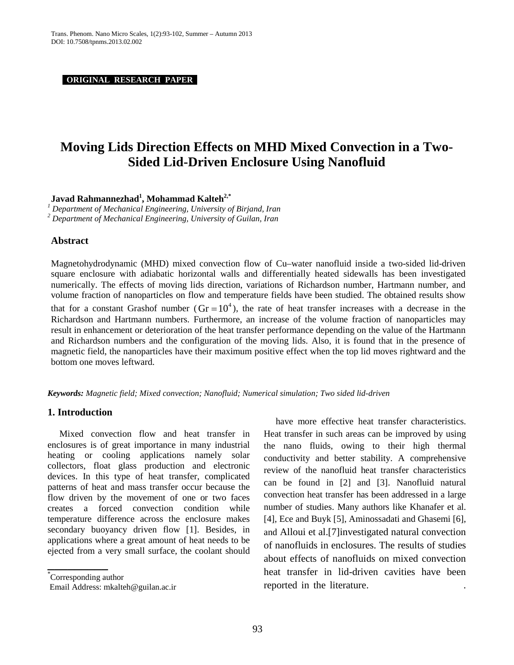**ORIGINAL RESEARCH PAPER .**

# **Moving Lids Direction Effects on MHD Mixed Convection in a Two-Sided Lid-Driven Enclosure Using Nanofluid**

 $\mathbf{J}$ avad Rahmannezhad $^{1},$  Mohammad Kalteh $^{2,*}$ 

*<sup>1</sup> Department of Mechanical Engineering, University of Birjand, Iran <sup>2</sup> Department of Mechanical Engineering, University of Guilan, Iran*

# **Abstract**

Magnetohydrodynamic (MHD) mixed convection flow of Cu–water nanofluid inside a two-sided lid-driven square enclosure with adiabatic horizontal walls and differentially heated sidewalls has been investigated numerically. The effects of moving lids direction, variations of Richardson number, Hartmann number, and volume fraction of nanoparticles on flow and temperature fields have been studied. The obtained results show that for a constant Grashof number ( $\text{Gr} = 10^4$ ), the rate of heat transfer increases with a decrease in the Richardson and Hartmann numbers. Furthermore, an increase of the volume fraction of nanoparticles may result in enhancement or deterioration of the heat transfer performance depending on the value of the Hartmann and Richardson numbers and the configuration of the moving lids. Also, it is found that in the presence of magnetic field, the nanoparticles have their maximum positive effect when the top lid moves rightward and the bottom one moves leftward.

*Keywords: Magnetic field; Mixed convection; Nanofluid; Numerical simulation; Two sided lid-driven* 

# **1. Introduction**

Mixed convection flow and heat transfer in enclosures is of great importance in many industrial heating or cooling applications namely solar collectors, float glass production and electronic devices. In this type of heat transfer, complicated patterns of heat and mass transfer occur because the flow driven by the movement of one or two faces creates a forced convection condition while temperature difference across the enclosure makes secondary buoyancy driven flow [1]. Besides, in applications where a great amount of heat needs to be ejected from a very small surface, the coolant should

\* Corresponding author

**\_\_\_\_\_\_\_\_\_**

have more effective heat transfer characteristics. Heat transfer in such areas can be improved by using the nano fluids, owing to their high thermal conductivity and better stability. A comprehensive review of the nanofluid heat transfer characteristics can be found in [2] and [3]. Nanofluid natural convection heat transfer has been addressed in a large number of studies. Many authors like Khanafer et al. [4], Ece and Buyk [5], Aminossadati and Ghasemi [6], and Alloui et al.[7]investigated natural convection of nanofluids in enclosures. The results of studies about effects of nanofluids on mixed convection heat transfer in lid-driven cavities have been reported in the literature. .

Email Address: [mkalteh@guilan.ac.ir](mailto:mkalteh@guilan.ac.ir)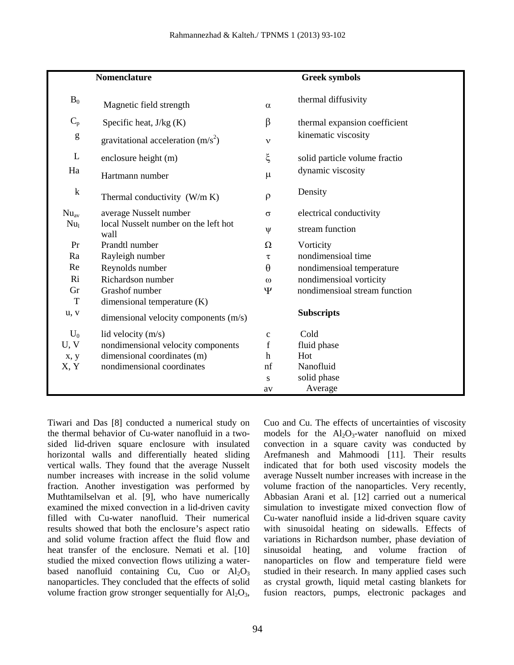| Nomenclature                                                                                                                                                                                                                                                                                                                                                                                                                   |                                              | <b>Greek symbols</b>      |                               |  |
|--------------------------------------------------------------------------------------------------------------------------------------------------------------------------------------------------------------------------------------------------------------------------------------------------------------------------------------------------------------------------------------------------------------------------------|----------------------------------------------|---------------------------|-------------------------------|--|
| $B_0$                                                                                                                                                                                                                                                                                                                                                                                                                          | Magnetic field strength                      | $\alpha$                  | thermal diffusivity           |  |
| $C_p$                                                                                                                                                                                                                                                                                                                                                                                                                          | Specific heat, $J/kg(K)$                     | β                         | thermal expansion coefficient |  |
| $\mathbf{g}% _{T}=\mathbf{g}_{T}=\mathbf{g}_{T}=\mathbf{g}_{T}=\mathbf{g}_{T}=\mathbf{g}_{T}=\mathbf{g}_{T}=\mathbf{g}_{T}=\mathbf{g}_{T}=\mathbf{g}_{T}=\mathbf{g}_{T}=\mathbf{g}_{T}=\mathbf{g}_{T}=\mathbf{g}_{T}=\mathbf{g}_{T}=\mathbf{g}_{T}=\mathbf{g}_{T}=\mathbf{g}_{T}=\mathbf{g}_{T}=\mathbf{g}_{T}=\mathbf{g}_{T}=\mathbf{g}_{T}=\mathbf{g}_{T}=\mathbf{g}_{T}=\mathbf{g}_{T}=\mathbf{g}_{T}=\mathbf{g}_{T}=\math$ | gravitational acceleration $(m/s2)$          | $\mathbf v$               | kinematic viscosity           |  |
| L                                                                                                                                                                                                                                                                                                                                                                                                                              | enclosure height (m)                         | ξ                         | solid particle volume fractio |  |
| Ha                                                                                                                                                                                                                                                                                                                                                                                                                             | Hartmann number                              | $\mu$                     | dynamic viscosity             |  |
| $\mathbf k$                                                                                                                                                                                                                                                                                                                                                                                                                    | Thermal conductivity $(W/m K)$               | $\rho$                    | Density                       |  |
| $Nu_{av}$                                                                                                                                                                                                                                                                                                                                                                                                                      | average Nusselt number                       | $\sigma$                  | electrical conductivity       |  |
| Nu <sub>1</sub>                                                                                                                                                                                                                                                                                                                                                                                                                | local Nusselt number on the left hot<br>wall | $\Psi$                    | stream function               |  |
| Pr                                                                                                                                                                                                                                                                                                                                                                                                                             | Prandtl number                               | Ω                         | Vorticity                     |  |
| Ra                                                                                                                                                                                                                                                                                                                                                                                                                             | Rayleigh number                              | τ                         | nondimensioal time            |  |
| Re                                                                                                                                                                                                                                                                                                                                                                                                                             | Reynolds number                              | $\theta$                  | nondimensioal temperature     |  |
| Ri                                                                                                                                                                                                                                                                                                                                                                                                                             | Richardson number                            | $\omega$                  | nondimensioal vorticity       |  |
| Gr                                                                                                                                                                                                                                                                                                                                                                                                                             | Grashof number                               | Ψ                         | nondimensioal stream function |  |
| T                                                                                                                                                                                                                                                                                                                                                                                                                              | dimensional temperature (K)                  |                           |                               |  |
| u, v                                                                                                                                                                                                                                                                                                                                                                                                                           | dimensional velocity components (m/s)        |                           | <b>Subscripts</b>             |  |
| $U_0$                                                                                                                                                                                                                                                                                                                                                                                                                          | lid velocity (m/s)                           | $\mathbf{C}$              | Cold                          |  |
| U, V                                                                                                                                                                                                                                                                                                                                                                                                                           | nondimensional velocity components           | $\mathbf f$               | fluid phase                   |  |
| x, y                                                                                                                                                                                                                                                                                                                                                                                                                           | dimensional coordinates (m)                  | $\boldsymbol{\mathrm{h}}$ | Hot                           |  |
| X, Y                                                                                                                                                                                                                                                                                                                                                                                                                           | nondimensional coordinates                   | nf                        | Nanofluid                     |  |
|                                                                                                                                                                                                                                                                                                                                                                                                                                |                                              | ${\bf S}$                 | solid phase                   |  |
|                                                                                                                                                                                                                                                                                                                                                                                                                                |                                              | av                        | Average                       |  |

Tiwari and Das [8] conducted a numerical study on the thermal behavior of Cu-water nanofluid in a twosided lid-driven square enclosure with insulated horizontal walls and differentially heated sliding vertical walls. They found that the average Nusselt number increases with increase in the solid volume fraction. Another investigation was performed by Muthtamilselvan et al. [9], who have numerically examined the mixed convection in a lid-driven cavity filled with Cu-water nanofluid. Their numerical results showed that both the enclosure's aspect ratio and solid volume fraction affect the fluid flow and heat transfer of the enclosure. Nemati et al. [10] studied the mixed convection flows utilizing a waterbased nanofluid containing Cu, Cuo or  $Al_2O_3$ nanoparticles. They concluded that the effects of solid volume fraction grow stronger sequentially for  $Al_2O_3$ , Cuo and Cu. The effects of uncertainties of viscosity models for the  $Al_2O_3$ -water nanofluid on mixed convection in a square cavity was conducted by Arefmanesh and Mahmoodi [11]. Their results indicated that for both used viscosity models the average Nusselt number increases with increase in the volume fraction of the nanoparticles. Very recently, Abbasian Arani et al. [12] carried out a numerical simulation to investigate mixed convection flow of Cu-water nanofluid inside a lid-driven square cavity with sinusoidal heating on sidewalls. Effects of variations in Richardson number, phase deviation of sinusoidal heating, and volume fraction of nanoparticles on flow and temperature field were studied in their research. In many applied cases such as crystal growth, liquid metal casting blankets for fusion reactors, pumps, electronic packages and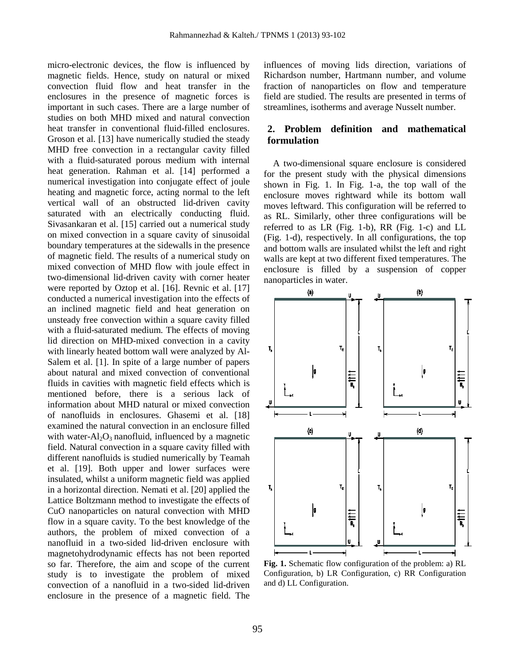micro-electronic devices, the flow is influenced by magnetic fields. Hence, study on natural or mixed convection fluid flow and heat transfer in the enclosures in the presence of magnetic forces is important in such cases. There are a large number of studies on both MHD mixed and natural convection heat transfer in conventional fluid-filled enclosures. Groson et al. [13] have numerically studied the steady MHD free convection in a rectangular cavity filled with a fluid-saturated porous medium with internal heat generation. Rahman et al. [14] performed a numerical investigation into conjugate effect of joule heating and magnetic force, acting normal to the left vertical wall of an obstructed lid-driven cavity saturated with an electrically conducting fluid. Sivasankaran et al. [15] carried out a numerical study on mixed convection in a square cavity of sinusoidal boundary temperatures at the sidewalls in the presence of magnetic field. The results of a numerical study on mixed convection of MHD flow with joule effect in two-dimensional lid-driven cavity with corner heater were reported by Oztop et al. [16]. Revnic et al. [17] conducted a numerical investigation into the effects of an inclined magnetic field and heat generation on unsteady free convection within a square cavity filled with a fluid-saturated medium. The effects of moving lid direction on MHD-mixed convection in a cavity with linearly heated bottom wall were analyzed by Al-Salem et al. [1]. In spite of a large number of papers about natural and mixed convection of conventional fluids in cavities with magnetic field effects which is mentioned before, there is a serious lack of information about MHD natural or mixed convection of nanofluids in enclosures. Ghasemi et al. [18] examined the natural convection in an enclosure filled with water- $Al_2O_3$  nanofluid, influenced by a magnetic field. Natural convection in a square cavity filled with different nanofluids is studied numerically by Teamah et al. [19]. Both upper and lower surfaces were insulated, whilst a uniform magnetic field was applied in a horizontal direction. Nemati et al. [20] applied the Lattice Boltzmann method to investigate the effects of CuO nanoparticles on natural convection with MHD flow in a square cavity. To the best knowledge of the authors, the problem of mixed convection of a nanofluid in a two-sided lid-driven enclosure with magnetohydrodynamic effects has not been reported so far. Therefore, the aim and scope of the current study is to investigate the problem of mixed convection of a nanofluid in a two-sided lid-driven enclosure in the presence of a magnetic field. The

influences of moving lids direction, variations of Richardson number, Hartmann number, and volume fraction of nanoparticles on flow and temperature field are studied. The results are presented in terms of streamlines, isotherms and average Nusselt number.

# **2. Problem definition and mathematical formulation**

 A two-dimensional square enclosure is considered for the present study with the physical dimensions shown in Fig. 1. In Fig. 1-a, the top wall of the enclosure moves rightward while its bottom wall moves leftward. This configuration will be referred to as RL. Similarly, other three configurations will be referred to as LR (Fig. 1-b), RR (Fig. 1-c) and LL (Fig. 1-d), respectively. In all configurations, the top and bottom walls are insulated whilst the left and right walls are kept at two different fixed temperatures. The enclosure is filled by a suspension of copper nanoparticles in water.



**Fig. 1.** Schematic flow configuration of the problem: a) RL Configuration, b) LR Configuration, c) RR Configuration and d) LL Configuration.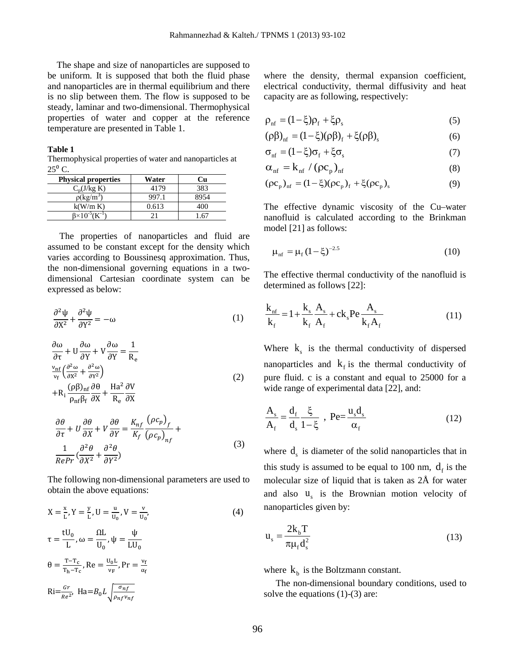The shape and size of nanoparticles are supposed to be uniform. It is supposed that both the fluid phase and nanoparticles are in thermal equilibrium and there is no slip between them. The flow is supposed to be steady, laminar and two-dimensional. Thermophysical properties of water and copper at the reference temperature are presented in Table 1.

#### **Table 1**

Thermophysical properties of water and nanoparticles at  $25^{\circ}$  C.

| <b>Physical properties</b> | Water | ા1  |
|----------------------------|-------|-----|
| $C_n(J/kg K)$              | 4179  | 383 |
| $\rho(\text{kg/m}^3)$      |       |     |
| k(W/m K)                   | 0.613 | 40O |
|                            |       |     |

The properties of nanoparticles and fluid are assumed to be constant except for the density which varies according to Boussinesq approximation. Thus, the non-dimensional governing equations in a twodimensional Cartesian coordinate system can be expressed as below:

$$
\frac{\partial^2 \psi}{\partial X^2} + \frac{\partial^2 \psi}{\partial Y^2} = -\omega
$$
 (1)

$$
\frac{\partial \omega}{\partial \tau} + U \frac{\partial \omega}{\partial Y} + V \frac{\partial \omega}{\partial Y} = \frac{1}{R_e}
$$
  

$$
\frac{v_{\text{nf}}}{v_{\text{f}}} \left( \frac{\partial^2 \omega}{\partial x^2} + \frac{\partial^2 \omega}{\partial Y^2} \right)
$$
  

$$
+ R_i \frac{(\rho \beta)_{\text{nf}} \partial \theta}{\rho_{\text{nf}} \beta_{\text{f}}} + \frac{Ha^2}{R_e} \frac{\partial V}{\partial X}
$$
\n(2)

$$
\frac{\partial \theta}{\partial \tau} + U \frac{\partial \theta}{\partial X} + V \frac{\partial \theta}{\partial Y} = \frac{K_{nf}}{K_f} \frac{(\rho c_p)_f}{(\rho c_p)_{nf}} + \frac{1}{RePr} (\frac{\partial^2 \theta}{\partial X^2} + \frac{\partial^2 \theta}{\partial Y^2})
$$
(3)

The following non-dimensional parameters are used to obtain the above equations:

$$
X = \frac{x}{L}, Y = \frac{y}{L}, U = \frac{u}{u_0}, V = \frac{v}{u_0},
$$
  
\n
$$
\tau = \frac{tU_0}{L}, \omega = \frac{\Omega L}{U_0}, \psi = \frac{\psi}{LU_0}
$$
  
\n
$$
\theta = \frac{T - T_c}{T_h - T_c}, \text{Re} = \frac{u_0 L}{v_F}, \text{Pr} = \frac{v_f}{\alpha_f}
$$
  
\n
$$
\text{Ri} = \frac{Gr}{Re^2}, \text{Ha} = B_0 L \sqrt{\frac{\sigma_{nf}}{\rho_{nf} v_{nf}}}
$$

where the density, thermal expansion coefficient, electrical conductivity, thermal diffusivity and heat capacity are as following, respectively:

$$
\rho_{\rm nf} = (1 - \xi)\rho_{\rm f} + \xi\rho_{\rm s} \tag{5}
$$

$$
(\rho \beta)_{\rm nf} = (1 - \xi)(\rho \beta)_{\rm f} + \xi(\rho \beta)_{\rm s}
$$
 (6)

$$
\sigma_{\rm nf} = (1 - \xi)\sigma_{\rm f} + \xi\sigma_{\rm s} \tag{7}
$$

$$
\alpha_{\rm nf} = k_{\rm nf} / (\rho c_{\rm p})_{\rm nf} \tag{8}
$$

$$
(\rho c_p)_{\rm nf} = (1 - \xi)(\rho c_p)_{\rm f} + \xi(\rho c_p)_{\rm s}
$$
 (9)

The effective dynamic viscosity of the Cu–water nanofluid is calculated according to the Brinkman model [21] as follows:

$$
\mu_{\rm nf} = \mu_{\rm f} \left( 1 - \xi \right)^{-2.5} \tag{10}
$$

The effective thermal conductivity of the nanofluid is determined as follows [22]:

$$
\frac{k_{\text{nf}}}{k_{\text{f}}} = 1 + \frac{k_{\text{s}}}{k_{\text{f}}} \frac{A_{\text{s}}}{A_{\text{f}}} + ck_{\text{s}} \text{Pe} \frac{A_{\text{s}}}{k_{\text{f}} A_{\text{f}}} \tag{11}
$$

Where  $k<sub>s</sub>$  is the thermal conductivity of dispersed nanoparticles and  $k_f$  is the thermal conductivity of pure fluid. c is a constant and equal to 25000 for a wide range of experimental data [22], and:

$$
\frac{A_s}{A_f} = \frac{d_f}{d_s} \frac{\xi}{1 - \xi} , \text{ Pe} = \frac{u_s d_s}{\alpha_f}
$$
 (12)

where  $d_s$  is diameter of the solid nanoparticles that in this study is assumed to be equal to 100 nm,  $d_f$  is the molecular size of liquid that is taken as 2Å for water and also  $u<sub>s</sub>$  is the Brownian motion velocity of nanoparticles given by:

$$
\mathbf{u}_{\mathrm{s}} = \frac{2\mathbf{k}_{\mathrm{b}}\mathbf{T}}{\pi\mu_{\mathrm{f}}\mathbf{d}_{\mathrm{s}}^2} \tag{13}
$$

where  $k<sub>b</sub>$  is the Boltzmann constant.

The non-dimensional boundary conditions, used to solve the equations (1)-(3) are: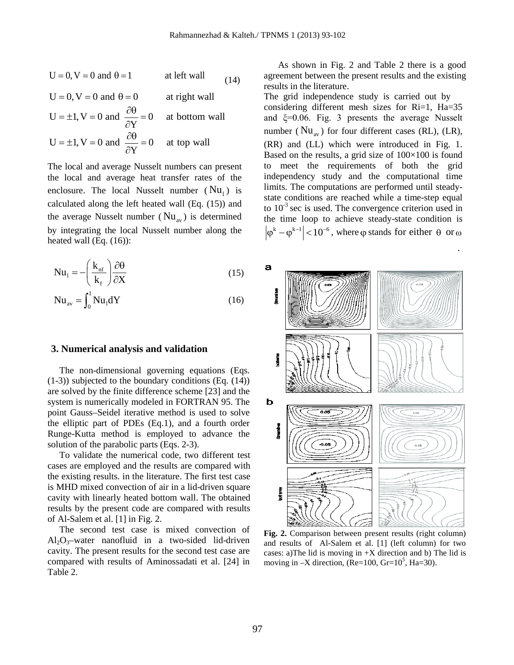$$
U = 0, V = 0 \text{ and } \theta = 1 \qquad \text{at left wall} \qquad (14)
$$

 $U = 0$ ,  $V = 0$  and  $\theta = 0$  at right wall  $U = \pm 1$ ,  $V = 0$  and  $\frac{\partial U}{\partial Y} = 0$  at bottom wall  $=\pm 1$ , V = 0 and  $\frac{\partial \theta}{\partial t}$  = and  $\frac{c}{\partial}$  $U = \pm 1$ ,  $V = 0$  and  $\frac{\partial U}{\partial Y} = 0$  at top wall  $=\pm 1$ , V = 0 and  $\frac{\partial \theta}{\partial x}$  = and  $\frac{e}{\partial}$ 

The local and average Nusselt numbers can present the local and average heat transfer rates of the enclosure. The local Nusselt number  $(Nu_1)$  is calculated along the left heated wall (Eq. (15)) and the average Nusselt number ( $Nu_{av}$ ) is determined by integrating the local Nusselt number along the heated wall (Eq. (16)):

$$
Nu_{1} = -\left(\frac{k_{nf}}{k_{f}}\right)\frac{\partial \theta}{\partial X}
$$
 (15)

$$
Nu_{av} = \int_0^1 Nu_1 dY
$$
 (16)

#### **3. Numerical analysis and validation**

The non-dimensional governing equations (Eqs. (1-3)) subjected to the boundary conditions (Eq. (14)) are solved by the finite difference scheme [23] and the system is numerically modeled in FORTRAN 95. The point Gauss–Seidel iterative method is used to solve the elliptic part of PDEs (Eq.1), and a fourth order Runge-Kutta method is employed to advance the solution of the parabolic parts (Eqs. 2-3).

To validate the numerical code, two different test cases are employed and the results are compared with the existing results. in the literature. The first test case is MHD mixed convection of air in a lid-driven square cavity with linearly heated bottom wall. The obtained results by the present code are compared with results of Al-Salem et al. [1] in Fig. 2.

The second test case is mixed convection of  $Al_2O_3$ -water nanofluid in a two-sided lid-driven cavity. The present results for the second test case are compared with results of Aminossadati et al. [24] in Table 2.

As shown in Fig. 2 and Table 2 there is a good agreement between the present results and the existing results in the literature.

The grid independence study is carried out by considering different mesh sizes for Ri=1, Ha=35 and ξ=0.06. Fig. 3 presents the average Nusselt number ( $Nu_{av}$ ) for four different cases (RL), (LR), (RR) and (LL) which were introduced in Fig. 1. Based on the results, a grid size of  $100\times100$  is found to meet the requirements of both the grid independency study and the computational time limits. The computations are performed until steadystate conditions are reached while a time-step equal to  $10^{-3}$  sec is used. The convergence criterion used in the time loop to achieve steady-state condition is  $|\varphi^k - \varphi^{k-1}|$  < 10<sup>-6</sup>, where  $\varphi$  stands for either  $\theta$  or  $\omega$ 

.



**Fig. 2.** Comparison between present results (right column) and results of Al-Salem et al. [1] (left column) for two cases: a)The lid is moving in  $+X$  direction and b) The lid is moving in  $-X$  direction, (Re=100, Gr=10<sup>5</sup>, Ha=30).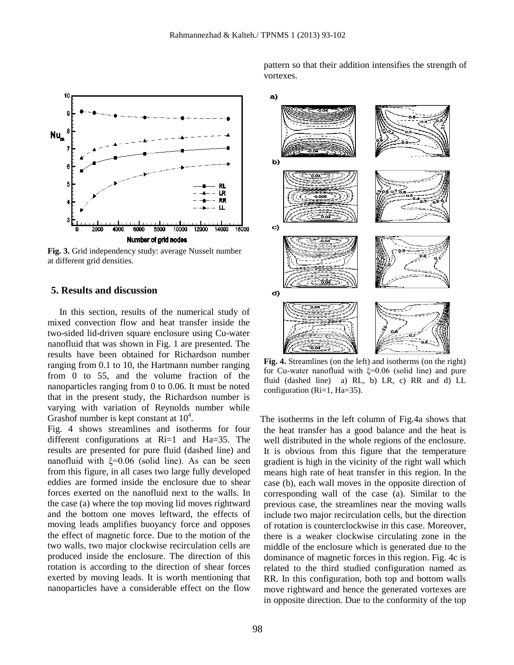

**Fig. 3.** Grid independency study: average Nusselt number at different grid densities.

# **5. Results and discussion**

In this section, results of the numerical study of mixed convection flow and heat transfer inside the two-sided lid-driven square enclosure using Cu-water nanofluid that was shown in Fig. 1 are presented. The results have been obtained for Richardson number ranging from 0.1 to 10, the Hartmann number ranging from 0 to 55, and the volume fraction of the nanoparticles ranging from 0 to 0.06. It must be noted that in the present study, the Richardson number is varying with variation of Reynolds number while Grashof number is kept constant at  $10^4$ .

Fig. 4 shows streamlines and isotherms for four different configurations at Ri=1 and Ha=35. The results are presented for pure fluid (dashed line) and nanofluid with  $\xi=0.06$  (solid line). As can be seen from this figure, in all cases two large fully developed eddies are formed inside the enclosure due to shear forces exerted on the nanofluid next to the walls. In the case (a) where the top moving lid moves rightward and the bottom one moves leftward, the effects of moving leads amplifies buoyancy force and opposes the effect of magnetic force. Due to the motion of the two walls, two major clockwise recirculation cells are produced inside the enclosure. The direction of this rotation is according to the direction of shear forces exerted by moving leads. It is worth mentioning that nanoparticles have a considerable effect on the flow

pattern so that their addition intensifies the strength of vortexes.



**Fig. 4.** Streamlines (on the left) and isotherms (on the right) for Cu-water nanofluid with ξ=0.06 (solid line) and pure fluid (dashed line) a) RL, b) LR, c) RR and d) LL configuration (Ri=1, Ha=35).

The isotherms in the left column of Fig.4a shows that the heat transfer has a good balance and the heat is well distributed in the whole regions of the enclosure. It is obvious from this figure that the temperature gradient is high in the vicinity of the right wall which means high rate of heat transfer in this region. In the case (b), each wall moves in the opposite direction of corresponding wall of the case (a). Similar to the previous case, the streamlines near the moving walls include two major recirculation cells, but the direction of rotation is counterclockwise in this case. Moreover, there is a weaker clockwise circulating zone in the middle of the enclosure which is generated due to the dominance of magnetic forces in this region. Fig. 4c is related to the third studied configuration named as RR. In this configuration, both top and bottom walls move rightward and hence the generated vortexes are in opposite direction. Due to the conformity of the top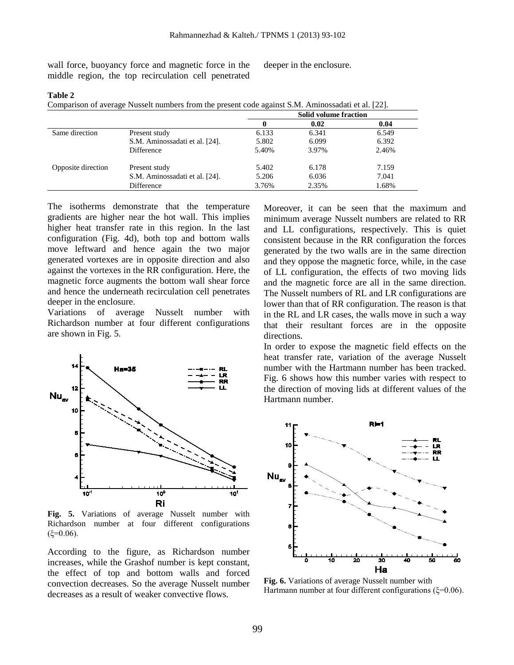wall force, buoyancy force and magnetic force in the middle region, the top recirculation cell penetrated deeper in the enclosure.

#### **Table 2**

Comparison of average Nusselt numbers from the present code against S.M. Aminossadati et al. [22].

|                    |                                | <b>Solid volume fraction</b> |       |       |  |
|--------------------|--------------------------------|------------------------------|-------|-------|--|
|                    |                                |                              | 0.02  | 0.04  |  |
| Same direction     | Present study                  | 6.133                        | 6.341 | 6.549 |  |
|                    | S.M. Aminossadati et al. [24]. | 5.802                        | 6.099 | 6.392 |  |
|                    | Difference                     | 5.40%                        | 3.97% | 2.46% |  |
| Opposite direction | Present study                  | 5.402                        | 6.178 | 7.159 |  |
|                    | S.M. Aminossadati et al. [24]. | 5.206                        | 6.036 | 7.041 |  |
|                    | Difference                     | 3.76%                        | 2.35% | 1.68% |  |

The isotherms demonstrate that the temperature gradients are higher near the hot wall. This implies higher heat transfer rate in this region. In the last configuration (Fig. 4d), both top and bottom walls move leftward and hence again the two major generated vortexes are in opposite direction and also against the vortexes in the RR configuration. Here, the magnetic force augments the bottom wall shear force and hence the underneath recirculation cell penetrates deeper in the enclosure.

Variations of average Nusselt number with Richardson number at four different configurations are shown in Fig. 5.



**Fig. 5.** Variations of average Nusselt number with Richardson number at four different configurations  $(ξ=0.06)$ .

According to the figure, as Richardson number increases, while the Grashof number is kept constant, the effect of top and bottom walls and forced convection decreases. So the average Nusselt number decreases as a result of weaker convective flows.

Moreover, it can be seen that the maximum and minimum average Nusselt numbers are related to RR and LL configurations, respectively. This is quiet consistent because in the RR configuration the forces generated by the two walls are in the same direction and they oppose the magnetic force, while, in the case of LL configuration, the effects of two moving lids and the magnetic force are all in the same direction. The Nusselt numbers of RL and LR configurations are lower than that of RR configuration. The reason is that in the RL and LR cases, the walls move in such a way that their resultant forces are in the opposite directions.

In order to expose the magnetic field effects on the heat transfer rate, variation of the average Nusselt number with the Hartmann number has been tracked. Fig. 6 shows how this number varies with respect to the direction of moving lids at different values of the Hartmann number.



**Fig. 6.** Variations of average Nusselt number with Hartmann number at four different configurations (ξ=0.06).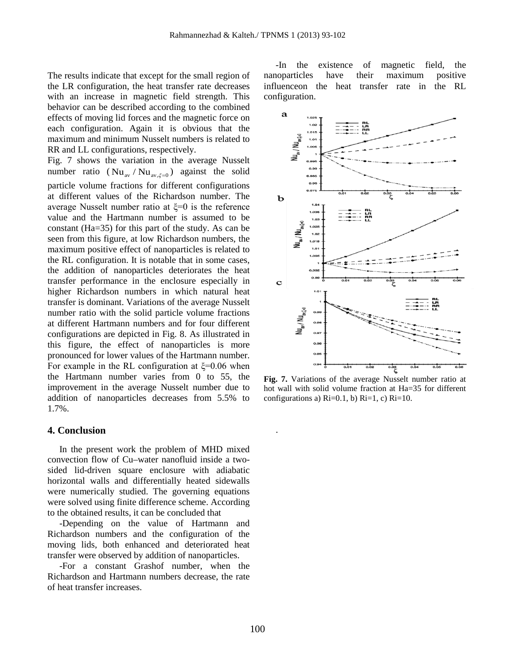The results indicate that except for the small region of the LR configuration, the heat transfer rate decreases with an increase in magnetic field strength. This behavior can be described according to the combined effects of moving lid forces and the magnetic force on each configuration. Again it is obvious that the maximum and minimum Nusselt numbers is related to RR and LL configurations, respectively.

Fig. 7 shows the variation in the average Nusselt number ratio ( $Nu_{av}/Nu_{av} \neq 0$ ) against the solid particle volume fractions for different configurations at different values of the Richardson number. The average Nusselt number ratio at  $\xi=0$  is the reference value and the Hartmann number is assumed to be constant (Ha=35) for this part of the study. As can be seen from this figure, at low Richardson numbers, the maximum positive effect of nanoparticles is related to the RL configuration. It is notable that in some cases, the addition of nanoparticles deteriorates the heat transfer performance in the enclosure especially in higher Richardson numbers in which natural heat transfer is dominant. Variations of the average Nusselt number ratio with the solid particle volume fractions at different Hartmann numbers and for four different configurations are depicted in Fig. 8. As illustrated in this figure, the effect of nanoparticles is more pronounced for lower values of the Hartmann number. For example in the RL configuration at  $\xi$ =0.06 when the Hartmann number varies from 0 to 55, the improvement in the average Nusselt number due to addition of nanoparticles decreases from 5.5% to 1.7%.

#### **4. Conclusion**

In the present work the problem of MHD mixed convection flow of Cu–water nanofluid inside a twosided lid-driven square enclosure with adiabatic horizontal walls and differentially heated sidewalls were numerically studied. The governing equations were solved using finite difference scheme. According to the obtained results, it can be concluded that

-Depending on the value of Hartmann and Richardson numbers and the configuration of the moving lids, both enhanced and deteriorated heat transfer were observed by addition of nanoparticles.

-For a constant Grashof number, when the Richardson and Hartmann numbers decrease, the rate of heat transfer increases.

-In the existence of magnetic field, the nanoparticles have their maximum positive influenceon the heat transfer rate in the RL configuration.



**Fig. 7.** Variations of the average Nusselt number ratio at hot wall with solid volume fraction at Ha=35 for different configurations a)  $\text{Ri}=0.1$ , b)  $\text{Ri}=1$ , c)  $\text{Ri}=10$ .

.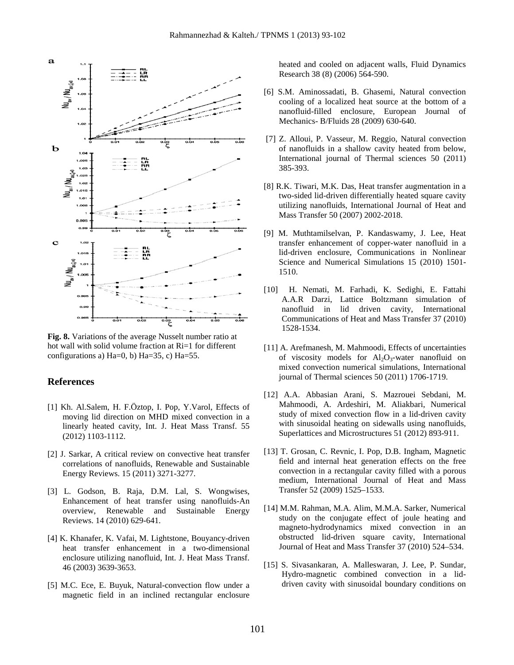

**Fig. 8.** Variations of the average Nusselt number ratio at hot wall with solid volume fraction at Ri=1 for different configurations a) Ha=0, b) Ha=35, c) Ha=55.

### **References**

- [1] Kh. Al.Salem, H. F.Öztop, I. Pop, Y.Varol, Effects of moving lid direction on MHD mixed convection in a linearly heated cavity, Int. J. Heat Mass Transf. 55 (2012) 1103-1112.
- [2] J. Sarkar, A critical review on convective heat transfer correlations of nanofluids, Renewable and Sustainable Energy Reviews. 15 (2011) 3271-3277.
- [3] L. Godson, B. Raja, D.M. Lal, S. Wongwises, Enhancement of heat transfer using nanofluids-An overview, Renewable and Sustainable Energy Reviews. 14 (2010) 629-641.
- [4] K. Khanafer, K. Vafai, M. Lightstone, Bouyancy-driven heat transfer enhancement in a two-dimensional enclosure utilizing nanofluid, Int. J. Heat Mass Transf. 46 (2003) 3639-3653.
- [5] M.C. Ece, E. Buyuk, Natural-convection flow under a magnetic field in an inclined rectangular enclosure

heated and cooled on adjacent walls, Fluid Dynamics Research 38 (8) (2006) 564-590.

- [6] S.M. Aminossadati, B. Ghasemi, Natural convection cooling of a localized heat source at the bottom of a nanofluid-filled enclosure, European Journal of Mechanics- B/Fluids 28 (2009) 630-640.
- [7] Z. Alloui, P. Vasseur, M. Reggio, Natural convection of nanofluids in a shallow cavity heated from below, International journal of Thermal sciences 50 (2011) 385-393.
- [8] R.K. Tiwari, M.K. Das, Heat transfer augmentation in a two-sided lid-driven differentially heated square cavity utilizing nanofluids, International Journal of Heat and Mass Transfer 50 (2007) 2002-2018.
- [9] M. Muthtamilselvan, P. Kandaswamy, J. Lee, Heat transfer enhancement of copper-water nanofluid in a lid-driven enclosure, Communications in Nonlinear Science and Numerical Simulations 15 (2010) 1501- 1510.
- [10] H. Nemati, M. Farhadi, K. Sedighi, E. Fattahi A.A.R Darzi, Lattice Boltzmann simulation of nanofluid in lid driven cavity, International Communications of Heat and Mass Transfer 37 (2010) 1528-1534.
- [11] A. Arefmanesh, M. Mahmoodi, Effects of uncertainties of viscosity models for  $Al_2O_3$ -water nanofluid on mixed convection numerical simulations, International journal of Thermal sciences 50 (2011) 1706-1719.
- [12] A.A. Abbasian Arani, S. Mazrouei Sebdani, M. Mahmoodi, A. Ardeshiri, M. Aliakbari, Numerical study of mixed convection flow in a lid-driven cavity with sinusoidal heating on sidewalls using nanofluids, Superlattices and Microstructures 51 (2012) 893-911.
- [13] T. Grosan, C. Revnic, I. Pop, D.B. Ingham, Magnetic field and internal heat generation effects on the free convection in a rectangular cavity filled with a porous medium, International Journal of Heat and Mass Transfer 52 (2009) 1525–1533.
- [14] M.M. Rahman, M.A. Alim, M.M.A. Sarker, Numerical study on the conjugate effect of joule heating and magneto-hydrodynamics mixed convection in an obstructed lid-driven square cavity, International Journal of Heat and Mass Transfer 37 (2010) 524–534.
- [15] S. Sivasankaran, A. Malleswaran, J. Lee, P. Sundar, Hydro-magnetic combined convection in a liddriven cavity with sinusoidal boundary conditions on